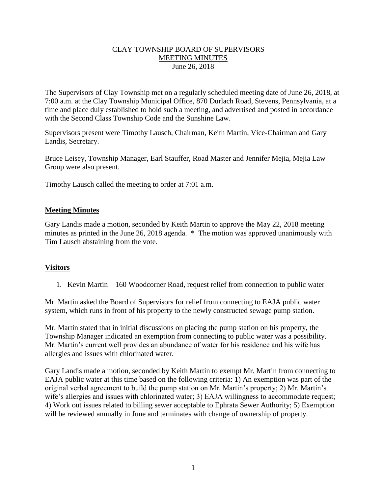## CLAY TOWNSHIP BOARD OF SUPERVISORS MEETING MINUTES June 26, 2018

The Supervisors of Clay Township met on a regularly scheduled meeting date of June 26, 2018, at 7:00 a.m. at the Clay Township Municipal Office, 870 Durlach Road, Stevens, Pennsylvania, at a time and place duly established to hold such a meeting, and advertised and posted in accordance with the Second Class Township Code and the Sunshine Law.

Supervisors present were Timothy Lausch, Chairman, Keith Martin, Vice-Chairman and Gary Landis, Secretary.

Bruce Leisey, Township Manager, Earl Stauffer, Road Master and Jennifer Mejia, Mejia Law Group were also present.

Timothy Lausch called the meeting to order at 7:01 a.m.

## **Meeting Minutes**

Gary Landis made a motion, seconded by Keith Martin to approve the May 22, 2018 meeting minutes as printed in the June 26, 2018 agenda. \* The motion was approved unanimously with Tim Lausch abstaining from the vote.

## **Visitors**

1. Kevin Martin – 160 Woodcorner Road, request relief from connection to public water

Mr. Martin asked the Board of Supervisors for relief from connecting to EAJA public water system, which runs in front of his property to the newly constructed sewage pump station.

Mr. Martin stated that in initial discussions on placing the pump station on his property, the Township Manager indicated an exemption from connecting to public water was a possibility. Mr. Martin's current well provides an abundance of water for his residence and his wife has allergies and issues with chlorinated water.

Gary Landis made a motion, seconded by Keith Martin to exempt Mr. Martin from connecting to EAJA public water at this time based on the following criteria: 1) An exemption was part of the original verbal agreement to build the pump station on Mr. Martin's property; 2) Mr. Martin's wife's allergies and issues with chlorinated water; 3) EAJA willingness to accommodate request; 4) Work out issues related to billing sewer acceptable to Ephrata Sewer Authority; 5) Exemption will be reviewed annually in June and terminates with change of ownership of property.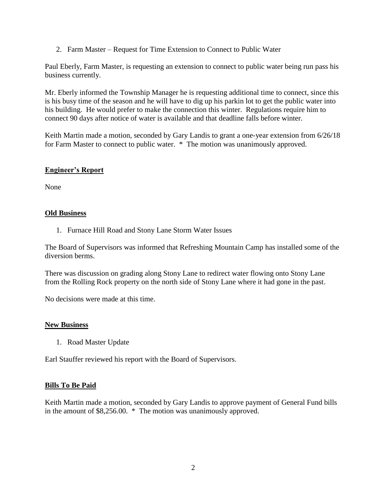2. Farm Master – Request for Time Extension to Connect to Public Water

Paul Eberly, Farm Master, is requesting an extension to connect to public water being run pass his business currently.

Mr. Eberly informed the Township Manager he is requesting additional time to connect, since this is his busy time of the season and he will have to dig up his parkin lot to get the public water into his building. He would prefer to make the connection this winter. Regulations require him to connect 90 days after notice of water is available and that deadline falls before winter.

Keith Martin made a motion, seconded by Gary Landis to grant a one-year extension from 6/26/18 for Farm Master to connect to public water. \* The motion was unanimously approved.

## **Engineer's Report**

None

## **Old Business**

1. Furnace Hill Road and Stony Lane Storm Water Issues

The Board of Supervisors was informed that Refreshing Mountain Camp has installed some of the diversion berms.

There was discussion on grading along Stony Lane to redirect water flowing onto Stony Lane from the Rolling Rock property on the north side of Stony Lane where it had gone in the past.

No decisions were made at this time.

#### **New Business**

1. Road Master Update

Earl Stauffer reviewed his report with the Board of Supervisors.

#### **Bills To Be Paid**

Keith Martin made a motion, seconded by Gary Landis to approve payment of General Fund bills in the amount of \$8,256.00. \* The motion was unanimously approved.